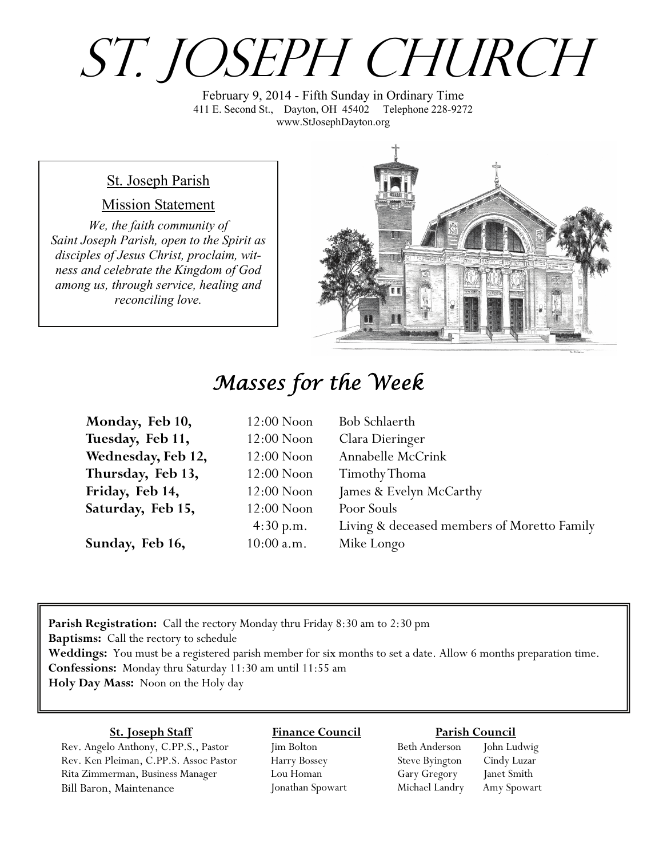# St. Joseph Church

February 9, 2014 - Fifth Sunday in Ordinary Time 411 E. Second St., Dayton, OH 45402 Telephone 228-9272 www.StJosephDayton.org

#### St. Joseph Parish

#### Mission Statement

*We, the faith community of Saint Joseph Parish, open to the Spirit as disciples of Jesus Christ, proclaim, witness and celebrate the Kingdom of God among us, through service, healing and reconciling love.*



### *Masses for the Week*

| Monday, Feb 10,    | $12:00$ Noon | Bob Schlaerth                               |
|--------------------|--------------|---------------------------------------------|
| Tuesday, Feb 11,   | $12:00$ Noon | Clara Dieringer                             |
| Wednesday, Feb 12, | $12:00$ Noon | Annabelle McCrink                           |
| Thursday, Feb 13,  | $12:00$ Noon | Timothy Thoma                               |
| Friday, Feb 14,    | $12:00$ Noon | James & Evelyn McCarthy                     |
| Saturday, Feb 15,  | $12:00$ Noon | Poor Souls                                  |
|                    | 4:30 p.m.    | Living & deceased members of Moretto Family |
| Sunday, Feb 16,    | $10:00$ a.m. | Mike Longo                                  |

**Parish Registration:** Call the rectory Monday thru Friday 8:30 am to 2:30 pm **Baptisms:** Call the rectory to schedule **Weddings:** You must be a registered parish member for six months to set a date. Allow 6 months preparation time. **Confessions:** Monday thru Saturday 11:30 am until 11:55 am **Holy Day Mass:** Noon on the Holy day

#### **St. Joseph Staff**

Rev. Angelo Anthony, C.PP.S., Pastor Rev. Ken Pleiman, C.PP.S. Assoc Pastor Rita Zimmerman, Business Manager Bill Baron, Maintenance

**Finance Council** Jim Bolton Harry Bossey

Lou Homan Jonathan Spowart

#### **Parish Council**

Beth Anderson John Ludwig Steve Byington Cindy Luzar Gary Gregory Janet Smith Michael Landry Amy Spowart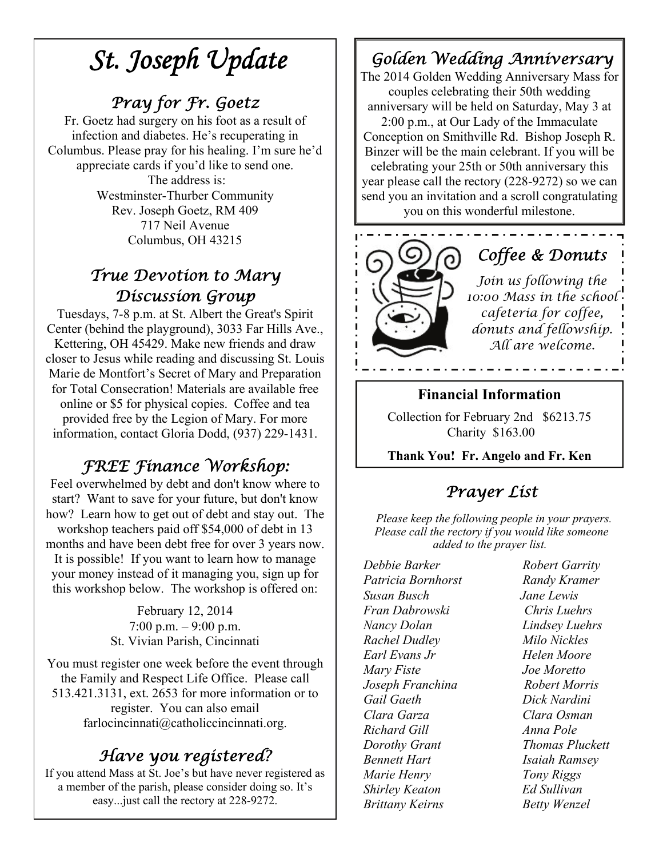# *St. Joseph Update*

### *Pray for Fr. Goetz*

Fr. Goetz had surgery on his foot as a result of infection and diabetes. He's recuperating in Columbus. Please pray for his healing. I'm sure he'd appreciate cards if you'd like to send one. The address is: Westminster-Thurber Community Rev. Joseph Goetz, RM 409 717 Neil Avenue Columbus, OH 43215

### *True Devotion to Mary Discussion Group*

Tuesdays, 7-8 p.m. at St. Albert the Great's Spirit Center (behind the playground), 3033 Far Hills Ave., Kettering, OH 45429. Make new friends and draw closer to Jesus while reading and discussing St. Louis Marie de Montfort's Secret of Mary and Preparation for Total Consecration! Materials are available free online or \$5 for physical copies. Coffee and tea provided free by the Legion of Mary. For more information, contact Gloria Dodd, (937) 229-1431.

### *FREE Finance Workshop:*

Feel overwhelmed by debt and don't know where to start? Want to save for your future, but don't know how? Learn how to get out of debt and stay out. The workshop teachers paid off \$54,000 of debt in 13 months and have been debt free for over 3 years now. It is possible! If you want to learn how to manage your money instead of it managing you, sign up for this workshop below. The workshop is offered on:

> February 12, 2014  $7:00 \text{ p.m.} - 9:00 \text{ p.m.}$ St. Vivian Parish, Cincinnati

You must register one week before the event through the Family and Respect Life Office. Please call 513.421.3131, ext. 2653 for more information or to register. You can also email farlocincinnati@catholiccincinnati.org.

### *Have you registered?*

If you attend Mass at St. Joe's but have never registered as a member of the parish, please consider doing so. It's easy...just call the rectory at 228-9272.

### *Golden Wedding Anniversary*

The 2014 Golden Wedding Anniversary Mass for couples celebrating their 50th wedding anniversary will be held on Saturday, May 3 at 2:00 p.m., at Our Lady of the Immaculate Conception on Smithville Rd. Bishop Joseph R. Binzer will be the main celebrant. If you will be celebrating your 25th or 50th anniversary this year please call the rectory (228-9272) so we can send you an invitation and a scroll congratulating you on this wonderful milestone.



#### **Financial Information**

Collection for February 2nd \$6213.75 Charity \$163.00

**Thank You! Fr. Angelo and Fr. Ken**

### *Prayer List*

 *Please keep the following people in your prayers. Please call the rectory if you would like someone added to the prayer list.* 

*Debbie Barker Robert Garrity Patricia Bornhorst Randy Kramer Susan Busch Jane Lewis Fran Dabrowski Chris Luehrs Nancy Dolan Lindsey Luehrs Rachel Dudley Milo Nickles Earl Evans Jr Helen Moore Mary Fiste Joe Moretto Joseph Franchina Robert Morris Gail Gaeth Dick Nardini Clara Garza Clara Osman Richard Gill Anna Pole Dorothy Grant Thomas Pluckett Bennett Hart Isaiah Ramsey Marie Henry Tony Riggs Shirley Keaton Ed Sullivan Brittany Keirns Betty Wenzel*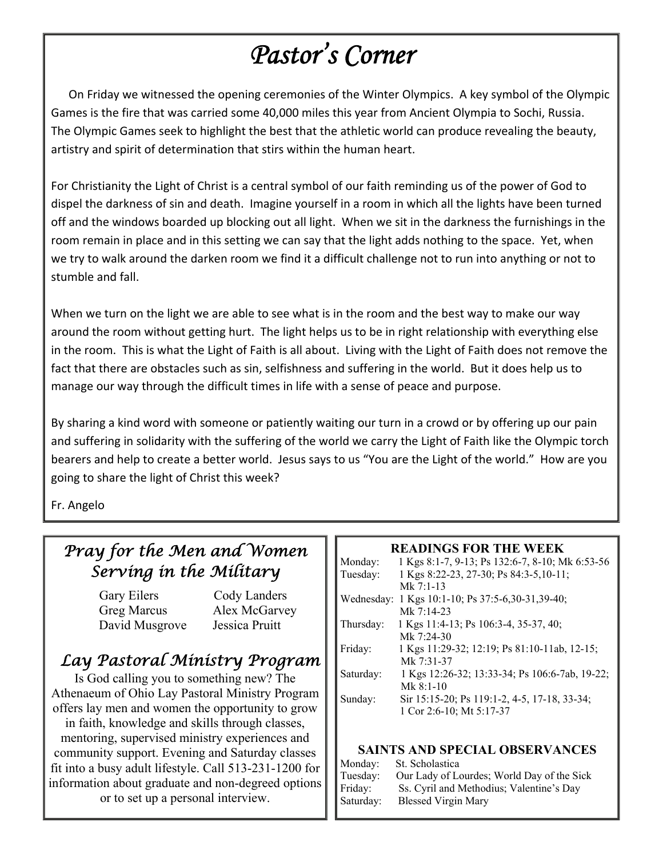# *Pastor's Corner*

 On Friday we witnessed the opening ceremonies of the Winter Olympics. A key symbol of the Olympic Games is the fire that was carried some 40,000 miles this year from Ancient Olympia to Sochi, Russia. The Olympic Games seek to highlight the best that the athletic world can produce revealing the beauty, artistry and spirit of determination that stirs within the human heart.

For Christianity the Light of Christ is a central symbol of our faith reminding us of the power of God to dispel the darkness of sin and death. Imagine yourself in a room in which all the lights have been turned off and the windows boarded up blocking out all light. When we sit in the darkness the furnishings in the room remain in place and in this setting we can say that the light adds nothing to the space. Yet, when we try to walk around the darken room we find it a difficult challenge not to run into anything or not to stumble and fall.

When we turn on the light we are able to see what is in the room and the best way to make our way around the room without getting hurt. The light helps us to be in right relationship with everything else in the room. This is what the Light of Faith is all about. Living with the Light of Faith does not remove the fact that there are obstacles such as sin, selfishness and suffering in the world. But it does help us to manage our way through the difficult times in life with a sense of peace and purpose.

By sharing a kind word with someone or patiently waiting our turn in a crowd or by offering up our pain and suffering in solidarity with the suffering of the world we carry the Light of Faith like the Olympic torch bearers and help to create a better world. Jesus says to us "You are the Light of the world." How are you going to share the light of Christ this week?

Fr. Angelo

### *Pray for the Men and Women Serving in the Military*

Gary Eilers Cody Landers Greg Marcus Alex McGarvey David Musgrove Jessica Pruitt

### *Lay Pastoral Ministry Program*

Is God calling you to something new? The Athenaeum of Ohio Lay Pastoral Ministry Program offers lay men and women the opportunity to grow in faith, knowledge and skills through classes, mentoring, supervised ministry experiences and community support. Evening and Saturday classes fit into a busy adult lifestyle. Call 513-231-1200 for information about graduate and non-degreed options or to set up a personal interview.

#### **READINGS FOR THE WEEK**

| Monday:    | 1 Kgs 8:1-7, 9-13; Ps 132:6-7, 8-10; Mk 6:53-56 |
|------------|-------------------------------------------------|
| Tuesday:   | 1 Kgs 8:22-23, 27-30; Ps 84:3-5, 10-11;         |
|            | Mk $7:1-13$                                     |
| Wednesday: | 1 Kgs 10:1-10; Ps 37:5-6,30-31,39-40;           |
|            | Mk $7:14-23$                                    |
| Thursday:  | 1 Kgs 11:4-13; Ps 106:3-4, 35-37, 40;           |
|            | Mk $7.24-30$                                    |
| Friday:    | 1 Kgs 11:29-32; 12:19; Ps 81:10-11ab, 12-15;    |
|            | Mk 7:31-37                                      |
| Saturday:  | 1 Kgs 12:26-32; 13:33-34; Ps 106:6-7ab, 19-22;  |
|            | $Mk$ 8:1-10                                     |
| Sunday:    | Sir 15:15-20; Ps 119:1-2, 4-5, 17-18, 33-34;    |
|            | 1 Cor 2:6-10; Mt 5:17-37                        |
|            |                                                 |

#### **SAINTS AND SPECIAL OBSERVANCES**

| Monday:   | St. Scholastica                            |
|-----------|--------------------------------------------|
| Tuesday:  | Our Lady of Lourdes; World Day of the Sick |
| Friday:   | Ss. Cyril and Methodius; Valentine's Day   |
| Saturday: | <b>Blessed Virgin Mary</b>                 |